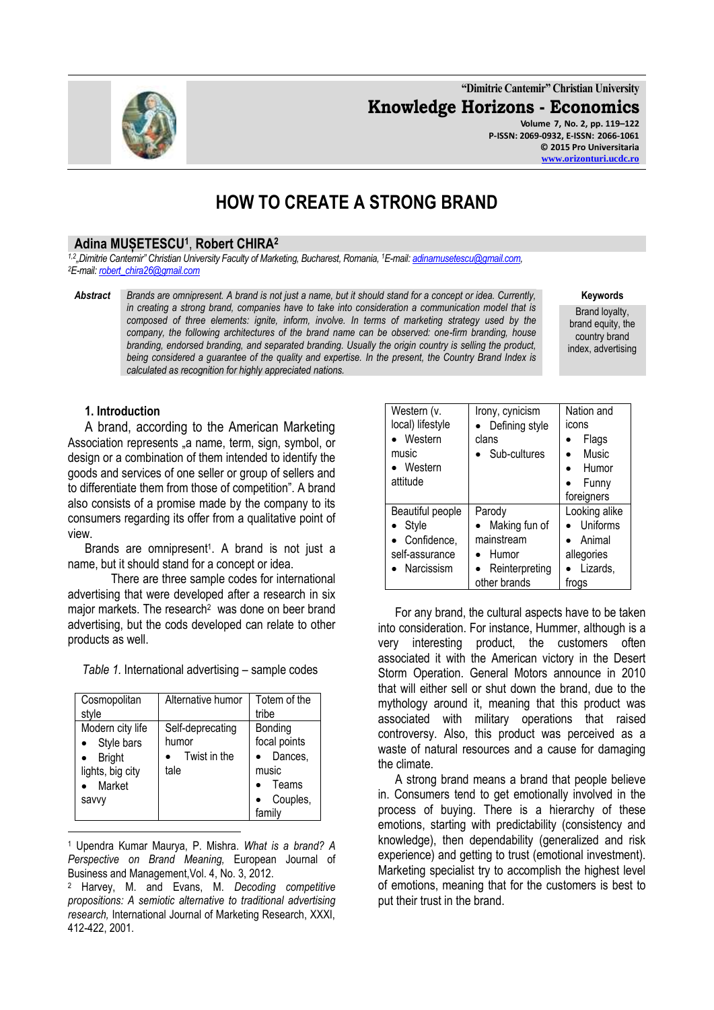**"Dimitrie Cantemir" Christian University Knowledge Horizons - Economics Volume 7, No. 2, pp. 119–122 P-ISSN: 2069-0932, E-ISSN: 2066-1061 © 2015 Pro Universitaria**

**[www.orizonturi.ucdc.ro](http://www.orizonturi.ucdc.ro/)**

# **HOW TO CREATE A STRONG BRAND**

# **Adina MUȘETESCU<sup>1</sup>** , **Robert CHIRA<sup>2</sup>**

*1,2 "Dimitrie Cantemir" Christian University Faculty of Marketing, Bucharest, Romania, <sup>1</sup>E-mail[: adinamusetescu@gmail.com,](mailto:adinamusetescu@gmail.com)  <sup>2</sup>E-mail[: robert\\_chira26@gmail.com](mailto:robert_chira26@gmail.com)*

*Abstract Brands are omnipresent. A brand is not just a name, but it should stand for a concept or idea. Currently, in creating a strong brand, companies have to take into consideration a communication model that is composed of three elements: ignite, inform, involve. In terms of marketing strategy used by the company, the following architectures of the brand name can be observed: one-firm branding, house branding, endorsed branding, and separated branding. Usually the origin country is selling the product, being considered a guarantee of the quality and expertise. In the present, the Country Brand Index is calculated as recognition for highly appreciated nations.* 

**Keywords**

Brand loyalty, brand equity, the country brand index, advertising

#### **1. Introduction**

A brand, according to the American Marketing Association represents "a name, term, sign, symbol, or design or a combination of them intended to identify the goods and services of one seller or group of sellers and to differentiate them from those of competition". A brand also consists of a promise made by the company to its consumers regarding its offer from a qualitative point of view.

Brands are omnipresent<sup>1</sup>. A brand is not just a name, but it should stand for a concept or idea.

There are three sample codes for international advertising that were developed after a research in six major markets. The research<sup>2</sup> was done on beer brand advertising, but the cods developed can relate to other products as well.

*Table 1.* International advertising – sample codes

| Cosmopolitan<br>style                                                                  | Alternative humor                                 | Totem of the<br>tribe                                                      |
|----------------------------------------------------------------------------------------|---------------------------------------------------|----------------------------------------------------------------------------|
| Modern city life<br>Style bars<br><b>Bright</b><br>lights, big city<br>Market<br>savvy | Self-deprecating<br>humor<br>Twist in the<br>tale | Bonding<br>focal points<br>Dances.<br>music<br>Teams<br>Couples,<br>family |

<u>.</u> <sup>1</sup> Upendra Kumar Maurya, P. Mishra. *What is a brand? A Perspective on Brand Meaning,* European Journal of Business and Management,Vol. 4, No. 3, 2012.

<sup>2</sup> Harvey, M. and Evans, M. *Decoding competitive propositions: A semiotic alternative to traditional advertising research,* International Journal of Marketing Research, XXXI, 412-422, 2001.

| Western (v.<br>local) lifestyle<br>• Western<br>music<br>• Western<br>attitude | Irony, cynicism<br>Defining style<br>clans<br>Sub-cultures                       | Nation and<br>icons<br>Flags<br>Music<br>Humor<br>Funny<br>foreigners  |
|--------------------------------------------------------------------------------|----------------------------------------------------------------------------------|------------------------------------------------------------------------|
| Beautiful people<br>Style<br>Confidence,<br>self-assurance<br>• Narcissism     | Parody<br>Making fun of<br>mainstream<br>Humor<br>Reinterpreting<br>other brands | Looking alike<br>Uniforms<br>Animal<br>allegories<br>Lizards,<br>frogs |

For any brand, the cultural aspects have to be taken into consideration. For instance, Hummer, although is a very interesting product, the customers often associated it with the American victory in the Desert Storm Operation. General Motors announce in 2010 that will either sell or shut down the brand, due to the mythology around it, meaning that this product was associated with military operations that raised controversy. Also, this product was perceived as a waste of natural resources and a cause for damaging the climate.

A strong brand means a brand that people believe in. Consumers tend to get emotionally involved in the process of buying. There is a hierarchy of these emotions, starting with predictability (consistency and knowledge), then dependability (generalized and risk experience) and getting to trust (emotional investment). Marketing specialist try to accomplish the highest level of emotions, meaning that for the customers is best to put their trust in the brand.

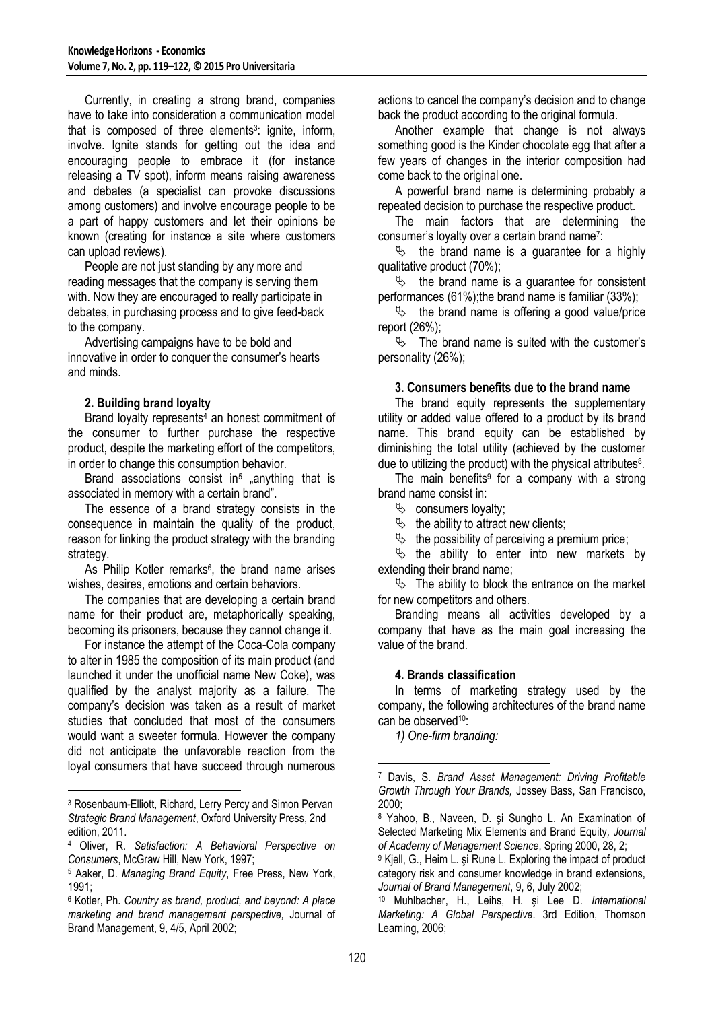Currently, in creating a strong brand, companies have to take into consideration a communication model that is composed of three elements<sup>3</sup>: ignite, inform, involve. Ignite stands for getting out the idea and encouraging people to embrace it (for instance releasing a TV spot), inform means raising awareness and debates (a specialist can provoke discussions among customers) and involve encourage people to be a part of happy customers and let their opinions be known (creating for instance a site where customers can upload reviews).

People are not just standing by any more and reading messages that the company is serving them with. Now they are encouraged to really participate in debates, in purchasing process and to give feed-back to the company.

Advertising campaigns have to be bold and innovative in order to conquer the consumer's hearts and minds.

#### **2. Building brand loyalty**

Brand loyalty represents<sup>4</sup> an honest commitment of the consumer to further purchase the respective product, despite the marketing effort of the competitors, in order to change this consumption behavior.

Brand associations consist in<sup>5</sup> "anything that is associated in memory with a certain brand".

The essence of a brand strategy consists in the consequence in maintain the quality of the product, reason for linking the product strategy with the branding strategy.

As Philip Kotler remarks<sup>6</sup>, the brand name arises wishes, desires, emotions and certain behaviors.

The companies that are developing a certain brand name for their product are, metaphorically speaking, becoming its prisoners, because they cannot change it.

For instance the attempt of the Coca-Cola company to alter in 1985 the composition of its main product (and launched it under the unofficial name New Coke), was qualified by the analyst majority as a failure. The company's decision was taken as a result of market studies that concluded that most of the consumers would want a sweeter formula. However the company did not anticipate the unfavorable reaction from the loyal consumers that have succeed through numerous

<u>.</u>

actions to cancel the company's decision and to change back the product according to the original formula.

Another example that change is not always something good is the Kinder chocolate egg that after a few years of changes in the interior composition had come back to the original one.

A powerful brand name is determining probably a repeated decision to purchase the respective product.

The main factors that are determining the consumer's loyalty over a certain brand name<sup>7</sup>:

 $\psi$  the brand name is a guarantee for a highly qualitative product (70%);

 $\psi$  the brand name is a guarantee for consistent performances (61%);the brand name is familiar (33%);

 $\psi$  the brand name is offering a good value/price report (26%);

 $\&$  The brand name is suited with the customer's personality (26%);

#### **3. Consumers benefits due to the brand name**

The brand equity represents the supplementary utility or added value offered to a product by its brand name. This brand equity can be established by diminishing the total utility (achieved by the customer due to utilizing the product) with the physical attributes<sup>8</sup>.

The main benefits<sup>9</sup> for a company with a strong brand name consist in:

- $\&$  consumers lovalty:
- $\upphi$  the ability to attract new clients;
- $\psi$  the possibility of perceiving a premium price;

 $\uparrow$  the ability to enter into new markets by extending their brand name;

 $\%$  The ability to block the entrance on the market for new competitors and others.

Branding means all activities developed by a company that have as the main goal increasing the value of the brand.

#### **4. Brands classification**

In terms of marketing strategy used by the company, the following architectures of the brand name can be observed<sup>10</sup>:

*1) One-firm branding:*

<u>.</u>

<sup>3</sup> Rosenbaum-Elliott, Richard, Lerry Percy and Simon Pervan *Strategic Brand Management*, Oxford University Press, 2nd edition, 2011.

<sup>4</sup> Oliver, R. *Satisfaction: A Behavioral Perspective on Consumers*, McGraw Hill, New York, 1997;

<sup>5</sup> Aaker, D. *Managing Brand Equity*, Free Press, New York, 1991;

<sup>6</sup> Kotler, Ph. *Country as brand, product, and beyond: A place marketing and brand management perspective,* Journal of Brand Management, 9, 4/5, April 2002;

<sup>7</sup> Davis, S. *Brand Asset Management: Driving Profitable Growth Through Your Brands,* Jossey Bass, San Francisco, 2000;

<sup>8</sup> Yahoo, B., Naveen, D. şi Sungho L. An Examination of Selected Marketing Mix Elements and Brand Equity*, Journal of Academy of Management Science*, Spring 2000, 28, 2;

<sup>9</sup> Kjell, G., Heim L. și Rune L. Exploring the impact of product category risk and consumer knowledge in brand extensions, *Journal of Brand Management*, 9, 6, July 2002;

<sup>10</sup> Muhlbacher, H., Leihs, H. şi Lee D. *International Marketing: A Global Perspective*. 3rd Edition, Thomson Learning, 2006;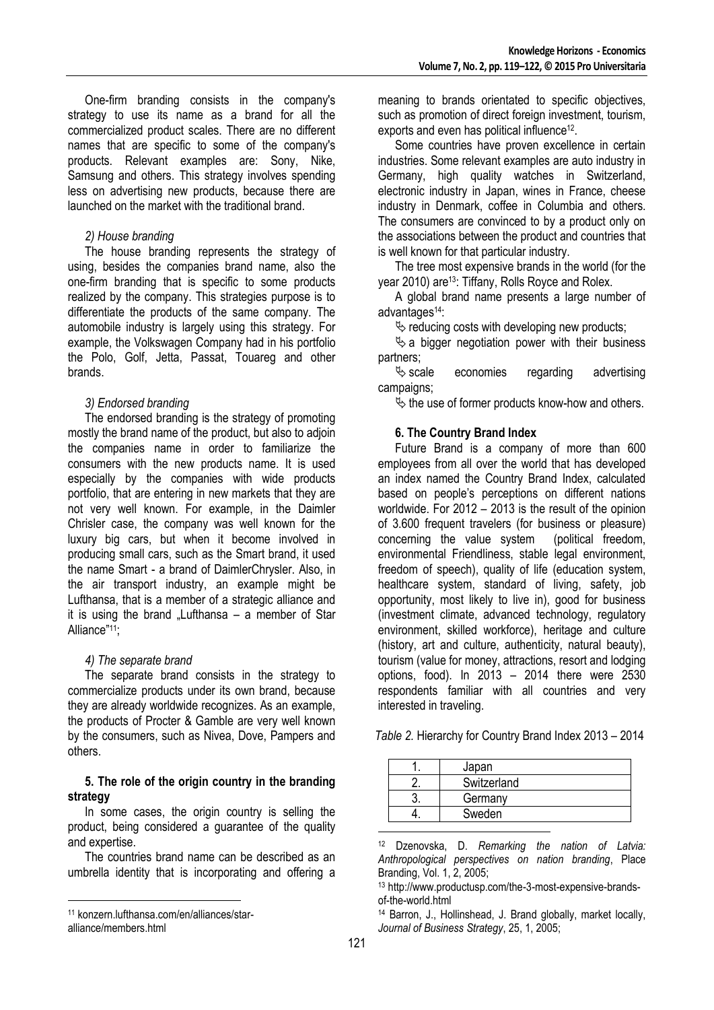One-firm branding consists in the company's strategy to use its name as a brand for all the commercialized product scales. There are no different names that are specific to some of the company's products. Relevant examples are: Sony, Nike, Samsung and others. This strategy involves spending less on advertising new products, because there are launched on the market with the traditional brand.

#### *2) House branding*

The house branding represents the strategy of using, besides the companies brand name, also the one-firm branding that is specific to some products realized by the company. This strategies purpose is to differentiate the products of the same company. The automobile industry is largely using this strategy. For example, the Volkswagen Company had in his portfolio the Polo, Golf, Jetta, Passat, Touareg and other brands.

# *3) Endorsed branding*

The endorsed branding is the strategy of promoting mostly the brand name of the product, but also to adjoin the companies name in order to familiarize the consumers with the new products name. It is used especially by the companies with wide products portfolio, that are entering in new markets that they are not very well known. For example, in the Daimler Chrisler case, the company was well known for the luxury big cars, but when it become involved in producing small cars, such as the Smart brand, it used the name Smart - a brand of DaimlerChrysler. Also, in the air transport industry, an example might be Lufthansa, that is a member of a strategic alliance and it is using the brand  $\sqrt{ }$ . Lufthansa – a member of Star Alliance"11;

# *4) The separate brand*

The separate brand consists in the strategy to commercialize products under its own brand, because they are already worldwide recognizes. As an example, the products of Procter & Gamble are very well known by the consumers, such as Nivea, Dove, Pampers and others.

# **5. The role of the origin country in the branding strategy**

In some cases, the origin country is selling the product, being considered a guarantee of the quality and expertise.

The countries brand name can be described as an umbrella identity that is incorporating and offering a

1

meaning to brands orientated to specific objectives, such as promotion of direct foreign investment, tourism, exports and even has political influence<sup>12</sup>.

Some countries have proven excellence in certain industries. Some relevant examples are auto industry in Germany, high quality watches in Switzerland, electronic industry in Japan, wines in France, cheese industry in Denmark, coffee in Columbia and others. The consumers are convinced to by a product only on the associations between the product and countries that is well known for that particular industry.

The tree most expensive brands in the world (for the year 2010) are<sup>13</sup>: Tiffany, Rolls Royce and Rolex.

A global brand name presents a large number of advantages14:

 $\psi$  reducing costs with developing new products;

 $\&$  a bigger negotiation power with their business partners;

 $\&$  scale economies regarding advertising campaigns;

 $\psi$  the use of former products know-how and others.

# **6. The Country Brand Index**

Future Brand is a company of more than 600 employees from all over the world that has developed an index named the Country Brand Index, calculated based on people's perceptions on different nations worldwide. For 2012 – 2013 is the result of the opinion of 3.600 frequent travelers (for business or pleasure) concerning the value system (political freedom, environmental Friendliness, stable legal environment, freedom of speech), quality of life (education system, healthcare system, standard of living, safety, job opportunity, most likely to live in), good for business (investment climate, advanced technology, regulatory environment, skilled workforce), heritage and culture (history, art and culture, authenticity, natural beauty), tourism (value for money, attractions, resort and lodging options, food). In 2013 – 2014 there were 2530 respondents familiar with all countries and very interested in traveling.

*Table 2.* Hierarchy for Country Brand Index 2013 – 2014

| Japan       |
|-------------|
| Switzerland |
| Germany     |
| Sweden      |

<sup>12</sup> Dzenovska, D. *Remarking the nation of Latvia: Anthropological perspectives on nation branding*, Place Branding, Vol. 1, 2, 2005;

<sup>13</sup> http://www.productusp.com/the-3-most-expensive-brandsof-the-world.html

<sup>14</sup> Barron, J., Hollinshead, J. Brand globally, market locally, *Journal of Business Strategy*, 25, 1, 2005;

<u>.</u>

<sup>11</sup> konzern.lufthansa.com/en/alliances/star-

alliance/members.html